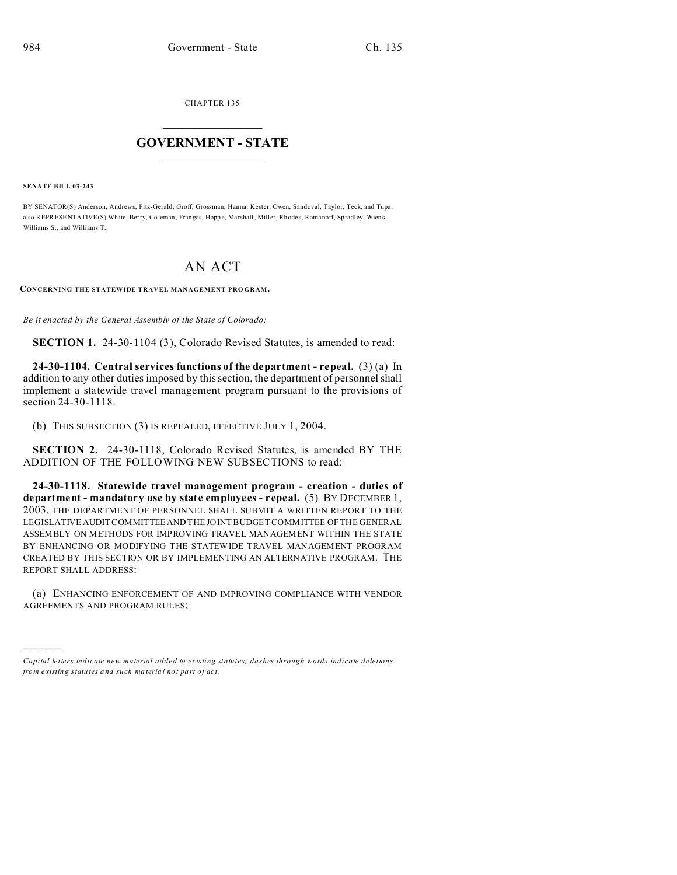CHAPTER 135  $\overline{\phantom{a}}$  , where  $\overline{\phantom{a}}$ 

## **GOVERNMENT - STATE**  $\_$   $\_$

**SENATE BILL 03-243**

)))))

BY SENATOR(S) Anderson, Andrews, Fitz-Gerald, Groff, Grossman, Hanna, Kester, Owen, Sandoval, Taylor, Teck, and Tupa; also REPRESENTATIVE(S) White, Berry, Coleman, Frangas, Hoppe, Marshall, Miller, Rhodes, Romanoff, Spradley, Wiens, Williams S., and Williams T.

## AN ACT

**CONCERNING THE STATEWIDE TRAVEL MANAGEMENT PRO GRAM.**

*Be it enacted by the General Assembly of the State of Colorado:*

**SECTION 1.** 24-30-1104 (3), Colorado Revised Statutes, is amended to read:

**24-30-1104. Central services functions of the department - repeal.** (3) (a) In addition to any other duties imposed by this section, the department of personnel shall implement a statewide travel management program pursuant to the provisions of section 24-30-1118.

(b) THIS SUBSECTION (3) IS REPEALED, EFFECTIVE JULY 1, 2004.

**SECTION 2.** 24-30-1118, Colorado Revised Statutes, is amended BY THE ADDITION OF THE FOLLOWING NEW SUBSECTIONS to read:

**24-30-1118. Statewide travel management program - creation - duties of department - mandatory use by state employees - repeal.** (5) BY DECEMBER 1, 2003, THE DEPARTMENT OF PERSONNEL SHALL SUBMIT A WRITTEN REPORT TO THE LEGISLATIVE AUDIT COMMITTEE AND THE JOINT BUDGET COMMITTEE OF THE GENERAL ASSEMBLY ON METHODS FOR IMPROVING TRAVEL MANAGEMENT WITHIN THE STATE BY ENHANCING OR MODIFYING THE STATEWIDE TRAVEL MANAGEMENT PROGRAM CREATED BY THIS SECTION OR BY IMPLEMENTING AN ALTERNATIVE PROGRAM. THE REPORT SHALL ADDRESS:

(a) ENHANCING ENFORCEMENT OF AND IMPROVING COMPLIANCE WITH VENDOR AGREEMENTS AND PROGRAM RULES;

*Capital letters indicate new material added to existing statutes; dashes through words indicate deletions from e xistin g statu tes a nd such ma teria l no t pa rt of ac t.*